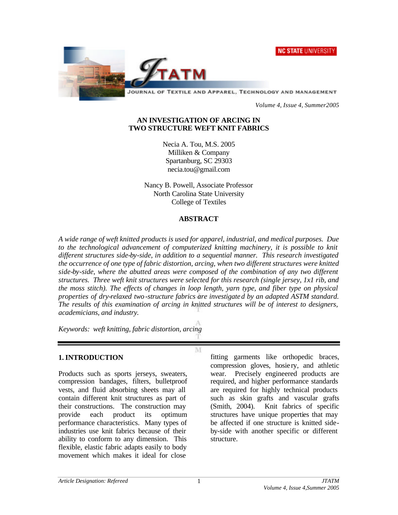



JOURNAL OF TEXTILE AND APPAREL, TECHNOLOGY AND MANAGEMENT

*Volume 4, Issue 4, Summer2005*

#### **AN INVESTIGATION OF ARCING IN TWO STRUCTURE WEFT KNIT FABRICS**

Necia A. Tou, M.S. 2005 Milliken & Company Spartanburg, SC 29303 necia.tou@gmail.com

Nancy B. Powell, Associate Professor North Carolina State University College of Textiles

#### **ABSTRACT**

*A wide range of weft knitted products is used for apparel, industrial, and medical purposes. Due*  to the technological advancement of computerized knitting machinery, it is possible to knit *different structures side-by-side, in addition to a sequential manner. This research investigated the occurrence of one type of fabric distortion, arcing, when two different structures were knitted side-by-side, where the abutted areas were composed of the combination of any two different structures. Three weft knit structures were selected for this research (single jersey, 1x1 rib, and the moss stitch). The effects of changes in loop length, yarn type, and fiber type on physical properties of dry-relaxed two-structure fabrics are investigated by an adapted ASTM standard. The results of this examination of arcing in knitted structures will be of interest to designers, academicians, and industry.*

M

*Keywords: weft knitting, fabric distortion, arcing*

## **1. INTRODUCTION**

Products such as sports jerseys, sweaters, compression bandages, filters, bulletproof vests, and fluid absorbing sheets may all contain different knit structures as part of their constructions. The construction may provide each product its optimum performance characteristics. Many types of industries use knit fabrics because of their ability to conform to any dimension. This flexible, elastic fabric adapts easily to body movement which makes it ideal for close

fitting garments like orthopedic braces, compression gloves, hosie ry, and athletic wear. Precisely engineered products are required, and higher performance standards are required for highly technical products such as skin grafts and vascular grafts (Smith, 2004). Knit fabrics of specific structures have unique properties that may be affected if one structure is knitted sideby-side with another specific or different structure.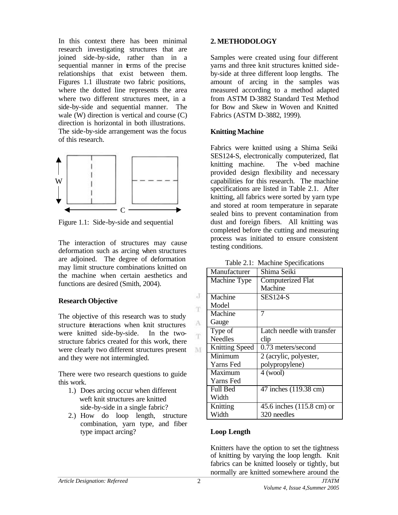In this context there has been minimal research investigating structures that are joined side-by-side, rather than in a sequential manner in terms of the precise relationships that exist between them. Figures 1.1 illustrate two fabric positions, where the dotted line represents the area where two different structures meet, in a side-by-side and sequential manner. The wale (W) direction is vertical and course (C) direction is horizontal in both illustrations. The side-by-side arrangement was the focus of this research.



Figure 1.1: Side-by-side and sequential

The interaction of structures may cause deformation such as arcing when structures are adjoined. The degree of deformation may limit structure combinations knitted on the machine when certain aesthetics and functions are desired (Smith, 2004).

#### **Research Objective**

The objective of this research was to study structure interactions when knit structures were knitted side-by-side. In the twostructure fabrics created for this work, there were clearly two different structures present and they were not intermingled.

There were two research questions to guide this work.

- 1.) Does arcing occur when different weft knit structures are knitted side-by-side in a single fabric?
- 2.) How do loop length, structure combination, yarn type, and fiber type impact arcing??

#### **2. METHODOLOGY**

Samples were created using four different yarns and three knit structures knitted sideby-side at three different loop lengths. The amount of arcing in the samples was measured according to a method adapted from ASTM D-3882 Standard Test Method for Bow and Skew in Woven and Knitted Fabrics (ASTM D-3882, 1999).

#### **Knitting Machine**

Fabrics were knitted using a Shima Seiki SES124-S, electronically computerized, flat knitting machine. The v-bed machine provided design flexibility and necessary capabilities for this research. The machine specifications are listed in Table 2.1. After knitting, all fabrics were sorted by yarn type and stored at room temperature in separate sealed bins to prevent contamination from dust and foreign fibers. All knitting was completed before the cutting and measuring process was initiated to ensure consistent testing conditions.

Table 2.1: Machine Specifications

| Manufacturer          | Shima Seiki                |  |
|-----------------------|----------------------------|--|
| Machine Type          | <b>Computerized Flat</b>   |  |
|                       | Machine                    |  |
| Machine               | <b>SES124-S</b>            |  |
| Model                 |                            |  |
| Machine               | 7                          |  |
| Gauge                 |                            |  |
|                       |                            |  |
| Type of               | Latch needle with transfer |  |
| <b>Needles</b>        | clip                       |  |
| <b>Knitting Speed</b> | 0.73 meters/second         |  |
| Minimum               | 2 (acrylic, polyester,     |  |
| Yarns Fed             | polypropylene)             |  |
| Maximum               | $4$ (wool)                 |  |
| Yarns Fed             |                            |  |
| <b>Full Bed</b>       | 47 inches (119.38 cm)      |  |
| Width                 |                            |  |
| Knitting              | 45.6 inches (115.8 cm) or  |  |
| Width                 | 320 needles                |  |

## **Loop Length**

Knitters have the option to set the tightness of knitting by varying the loop length. Knit fabrics can be knitted loosely or tightly, but normally are knitted somewhere around the

J T.

 $\Lambda$ m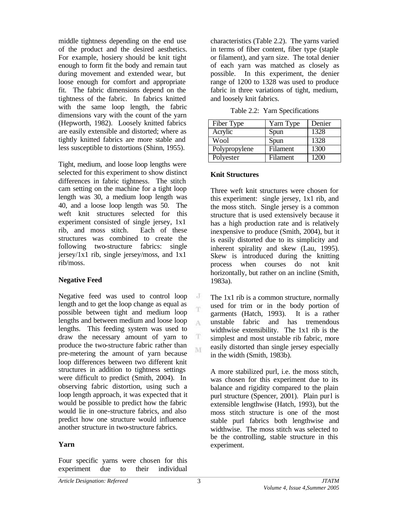middle tightness depending on the end use of the product and the desired aesthetics. For example, hosiery should be knit tight enough to form fit the body and remain taut during movement and extended wear, but loose enough for comfort and appropriate fit. The fabric dimensions depend on the tightness of the fabric. In fabrics knitted with the same loop length, the fabric dimensions vary with the count of the yarn (Hepworth, 1982). Loosely knitted fabrics are easily extensible and distorted; where as tightly knitted fabrics are more stable and less susceptible to distortions (Shinn, 1955).

Tight, medium, and loose loop lengths were selected for this experiment to show distinct differences in fabric tightness. The stitch cam setting on the machine for a tight loop length was 30, a medium loop length was 40, and a loose loop length was 50. The weft knit structures selected for this experiment consisted of single jersey, 1x1 rib, and moss stitch. Each of these structures was combined to create the following two-structure fabrics: single jersey/1x1 rib, single jersey/moss, and 1x1 rib/moss.

## **Negative Feed**

Negative feed was used to control loop length and to get the loop change as equal as possible between tight and medium loop lengths and between medium and loose loop lengths. This feeding system was used to draw the necessary amount of yarn to produce the two-structure fabric rather than pre-metering the amount of yarn because loop differences between two different knit structures in addition to tightness settings were difficult to predict (Smith, 2004). In observing fabric distortion, using such a loop length approach, it was expected that it would be possible to predict how the fabric would lie in one-structure fabrics, and also predict how one structure would influence another structure in two-structure fabrics.

## **Yarn**

Four specific yarns were chosen for this experiment due to their individual characteristics (Table 2.2). The yarns varied in terms of fiber content, fiber type (staple or filament), and yarn size. The total denier of each yarn was matched as closely as possible. In this experiment, the denier range of 1200 to 1328 was used to produce fabric in three variations of tight, medium, and loosely knit fabrics.

Table 2.2: Yarn Specifications

| Fiber Type    | Yarn Type       | Denier |
|---------------|-----------------|--------|
| Acrylic       | Spun            | 1328   |
| Wool          | Spun            | 1328   |
| Polypropylene | Filament        | 1300   |
| Polyester     | <b>Filament</b> | 1200   |

## **Knit Structures**

Three weft knit structures were chosen for this experiment: single jersey, 1x1 rib, and the moss stitch. Single jersey is a common structure that is used extensively because it has a high production rate and is relatively inexpensive to produce (Smith, 2004), but it is easily distorted due to its simplicity and inherent spirality and skew (Lau, 1995). Skew is introduced during the knitting process when courses do not knit horizontally, but rather on an incline (Smith, 1983a).

The 1x1 rib is a common structure, normally used for trim or in the body portion of garments (Hatch, 1993). It is a rather unstable fabric and has tremendous widthwise extensibility. The 1x1 rib is the simplest and most unstable rib fabric, more easily distorted than single jersey especially in the width (Smith, 1983b).

A more stabilized purl, i.e. the moss stitch, was chosen for this experiment due to its balance and rigidity compared to the plain purl structure (Spencer, 2001). Plain purl is extensible lengthwise (Hatch, 1993), but the moss stitch structure is one of the most stable purl fabrics both lengthwise and widthwise. The moss stitch was selected to be the controlling, stable structure in this experiment.

 $\cdot$ T

A

T M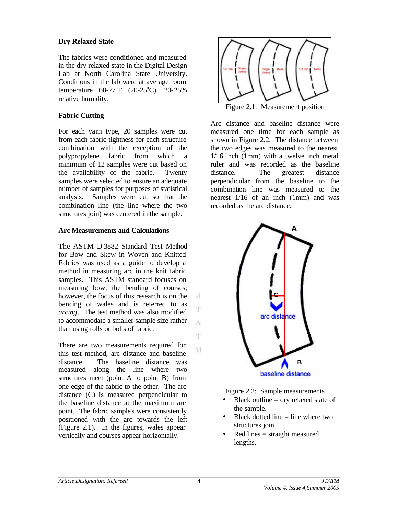## **Dry Relaxed State**

The fabrics were conditioned and measured in the dry relaxed state in the Digital Design Lab at North Carolina State University. Conditions in the lab were at average room temperature  $68-77^{\circ}F$  (20-25°C), 20-25% relative humidity.

## **Fabric Cutting**

For each yarn type, 20 samples were cut from each fabric tightness for each structure combination with the exception of the polypropylene fabric from which a minimum of 12 samples were cut based on the availability of the fabric. Twenty samples were selected to ensure an adequate number of samples for purposes of statistical analysis. Samples were cut so that the combination line (the line where the two structures join) was centered in the sample.

## **Arc Measurements and Calculations**

The ASTM D-3882 Standard Test Method for Bow and Skew in Woven and Knitted Fabrics was used as a guide to develop a method in measuring arc in the knit fabric samples. This ASTM standard focuses on measuring bow, the bending of courses; however, the focus of this research is on the bending of wales and is referred to as *arcing*. The test method was also modified to accommodate a smaller sample size rather than using rolls or bolts of fabric.

There are two measurements required for this test method, arc distance and baseline distance. The baseline distance was measured along the line where two structures meet (point A to point B) from one edge of the fabric to the other. The arc distance (C) is measured perpendicular to the baseline distance at the maximum arc point. The fabric samples were consistently positioned with the arc towards the left (Figure 2.1). In the figures, wales appear vertically and courses appear horizontally.



Arc distance and baseline distance were measured one time for each sample as shown in Figure 2.2. The distance between the two edges was measured to the nearest 1/16 inch (1mm) with a twelve inch metal ruler and was recorded as the baseline distance. The greatest distance perpendicular from the baseline to the combination line was measured to the nearest 1/16 of an inch (1mm) and was recorded as the arc distance.



Figure 2.2: Sample measurements

- Black outline  $=$  dry relaxed state of the sample.
- Black dotted line  $=$  line where two structures join.
- Red lines = straight measured lengths.

J

T

A

T.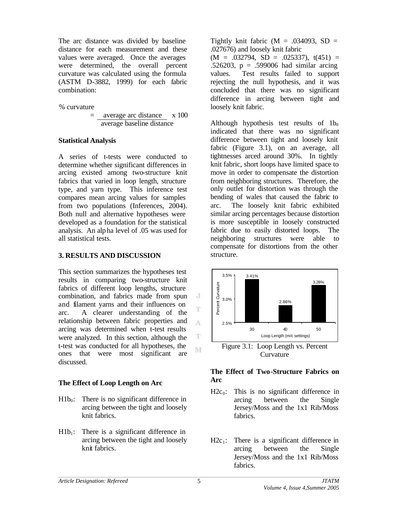The arc distance was divided by baseline distance for each measurement and these values were averaged. Once the averages were determined, the overall percent curvature was calculated using the formula (ASTM D-3882, 1999) for each fabric combination:

#### % curvature

$$
= \frac{\text{average arc distance}}{\text{average baseline distance}}
$$
 x 100

## **Statistical Analysis**

A series of t-tests were conducted to determine whether significant differences in arcing existed among two-structure knit fabrics that varied in loop length, structure type, and yarn type. This inference test compares mean arcing values for samples from two populations (Inferences, 2004). Both null and alternative hypotheses were developed as a foundation for the statistical analysis. An alpha level of .05 was used for all statistical tests.

## **3. RESULTS AND DISCUSSION**

This section summarizes the hypotheses test results in comparing two-structure knit fabrics of different loop lengths, structure combination, and fabrics made from spun and filament yarns and their influences on arc. A clearer understanding of the relationship between fabric properties and arcing was determined when t-test results were analyzed. In this section, although the t-test was conducted for all hypotheses, the ones that were most significant are discussed.

## **The Effect of Loop Length on Arc**

- $H1b<sub>0</sub>$ : There is no significant difference in arcing between the tight and loosely knit fabrics.
- $H1b_1$ : There is a significant difference in arcing between the tight and loosely knit fabrics.

Tightly knit fabric  $(M = .034093, SD =$ .027676) and loosely knit fabric  $(M = .032794, SD = .025337), t(451) =$ .526203, p = .599006 had similar arcing values. Test results failed to support rejecting the null hypothesis, and it was concluded that there was no significant difference in arcing between tight and loosely knit fabric.

Although hypothesis test results of  $1b<sub>0</sub>$ indicated that there was no significant difference between tight and loosely knit fabric (Figure 3.1), on an average, all tightnesses arced around 30%. In tightly knit fabric, short loops have limited space to move in order to compensate the distortion from neighboring structures. Therefore, the only outlet for distortion was through the bending of wales that caused the fabric to arc. The loosely knit fabric exhibited similar arcing percentages because distortion is more susceptible in loosely constructed fabric due to easily distorted loops. The neighboring structures were able to compensate for distortions from the other structure.



Curvature

## **The Effect of Two-Structure Fabrics on Arc**

- $H2c_0$ : This is no significant difference in arcing between the Single Jersey/Moss and the 1x1 Rib/Moss fabrics.
- $H2c_1$ : There is a significant difference in arcing between the Single Jersey/Moss and the 1x1 Rib/Moss fabrics.

 $\cdot$ 

T

A

 $\mathbf T$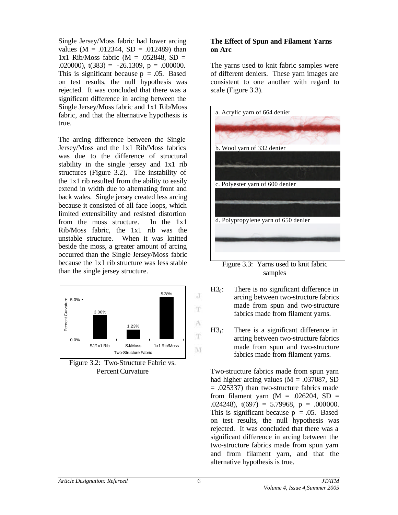Single Jersey/Moss fabric had lower arcing values  $(M = .012344, SD = .012489)$  than 1x1 Rib/Moss fabric ( $M = .052848$ , SD = .020000),  $t(383) = -26.1309$ ,  $p = .000000$ . This is significant because  $p = .05$ . Based on test results, the null hypothesis was rejected. It was concluded that there was a significant difference in arcing between the Single Jersey/Moss fabric and 1x1 Rib/Moss fabric, and that the alternative hypothesis is true.

The arcing difference between the Single Jersey/Moss and the 1x1 Rib/Moss fabrics was due to the difference of structural stability in the single jersey and 1x1 rib structures (Figure 3.2). The instability of the 1x1 rib resulted from the ability to easily extend in width due to alternating front and back wales. Single jersey created less arcing because it consisted of all face loops, which limited extensibility and resisted distortion from the moss structure. In the 1x1 Rib/Moss fabric, the 1x1 rib was the unstable structure. When it was knitted beside the moss, a greater amount of arcing occurred than the Single Jersey/Moss fabric because the 1x1 rib structure was less stable than the single jersey structure.



Figure 3.2: Two-Structure Fabric vs. Percent Curvature

## **The Effect of Spun and Filament Yarns on Arc**

The yarns used to knit fabric samples were of different deniers. These yarn images are consistent to one another with regard to scale (Figure 3.3).



samples

- $H3<sub>0</sub>$ : There is no significant difference in arcing between two-structure fabrics made from spun and two-structure fabrics made from filament yarns.
- $H3<sub>1</sub>$ : There is a significant difference in arcing between two-structure fabrics made from spun and two-structure fabrics made from filament yarns.

Two-structure fabrics made from spun yarn had higher arcing values ( $M = .037087$ , SD = .025337) than two-structure fabrics made from filament yarn  $(M = .026204, SD =$ .024248),  $t(697) = 5.79968$ ,  $p = .000000$ . This is significant because  $p = .05$ . Based on test results, the null hypothesis was rejected. It was concluded that there was a significant difference in arcing between the two-structure fabrics made from spun yarn and from filament yarn, and that the alternative hypothesis is true.

 $\rm J$ 

T

A T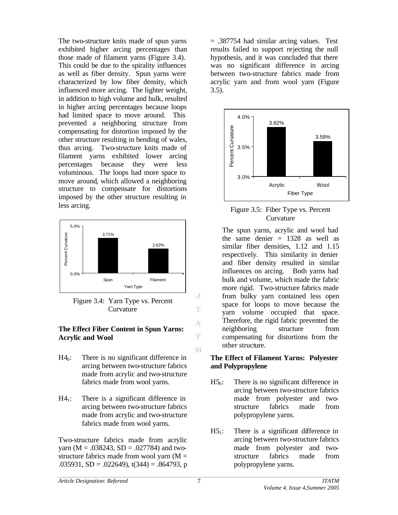The two-structure knits made of spun yarns exhibited higher arcing percentages than those made of filament yarns (Figure 3.4). This could be due to the spirality influences as well as fiber density. Spun yarns were characterized by low fiber density, which influenced more arcing. The lighter weight, in addition to high volume and bulk, resulted in higher arcing percentages because loops had limited space to move around. This prevented a neighboring structure from compensating for distortion imposed by the other structure resulting in bending of wales, thus arcing. Two-structure knits made of filament yarns exhibited lower arcing percentages because they were less voluminous. The loops had more space to move around, which allowed a neighboring structure to compensate for distortions imposed by the other structure resulting in less arcing.



Figure 3.4: Yarn Type vs. Percent Curvature

#### **The Effect Fiber Content in Spun Yarns: Acrylic and Wool**

- $H4<sub>0</sub>$ : There is no significant difference in arcing between two-structure fabrics made from acrylic and two-structure fabrics made from wool yarns.
- $H4_1$ : There is a significant difference in arcing between two-structure fabrics made from acrylic and two-structure fabrics made from wool yarns.

Two-structure fabrics made from acrylic yarn ( $M = .038243$ ,  $SD = .027784$ ) and twostructure fabrics made from wool yarn  $(M =$ .035931,  $SD = .022649$ ,  $t(344) = .864793$ , p

= .387754 had similar arcing values. Test results failed to support rejecting the null hypothesis, and it was concluded that there was no significant difference in arcing between two-structure fabrics made from acrylic yarn and from wool yarn (Figure  $3.5$ ).



Figure 3.5: Fiber Type vs. Percent Curvature

The spun yarns, acrylic and wool had the same denier  $= 1328$  as well as similar fiber densities, 1.12 and 1.15 respectively. This similarity in denier and fiber density resulted in similar influences on arcing. Both yarns had bulk and volume, which made the fabric more rigid. Two-structure fabrics made from bulky yarn contained less open space for loops to move because the yarn volume occupied that space. Therefore, the rigid fabric prevented the neighboring structure from compensating for distortions from the other structure.

#### **The Effect of Filament Yarns: Polyester and Polypropylene**

- $H5<sub>0</sub>$ : There is no significant difference in arcing between two-structure fabrics made from polyester and twostructure fabrics made from polypropylene yarns.
- $H5<sub>1</sub>$ : There is a significant difference in arcing between two-structure fabrics made from polyester and twostructure fabrics made from polypropylene yarns.

J T.

A

T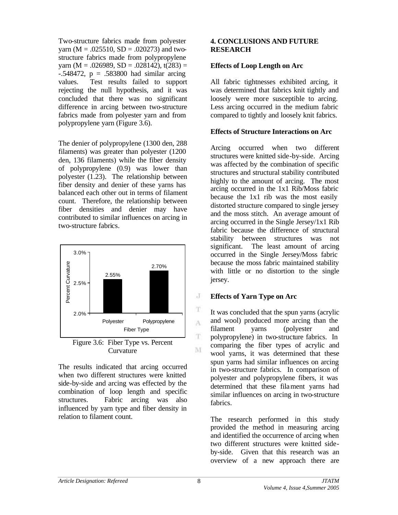Two-structure fabrics made from polyester yarn ( $M = .025510$ ,  $SD = .020273$ ) and twostructure fabrics made from polypropylene yarn (M = .026989, SD = .028142),  $t(283)$  =  $-.548472$ ,  $p = .583800$  had similar arcing values. Test results failed to support rejecting the null hypothesis, and it was concluded that there was no significant difference in arcing between two-structure fabrics made from polyester yarn and from polypropylene yarn (Figure 3.6).

The denier of polypropylene (1300 den, 288 filaments) was greater than polyester (1200 den, 136 filaments) while the fiber density of polypropylene (0.9) was lower than polyester (1.23). The relationship between fiber density and denier of these yarns has balanced each other out in terms of filament count. Therefore, the relationship between fiber densities and denier may have contributed to similar influences on arcing in two-structure fabrics.



The results indicated that arcing occurred when two different structures were knitted side-by-side and arcing was effected by the combination of loop length and specific structures. Fabric arcing was also influenced by yarn type and fiber density in relation to filament count.

#### **4. CONCLUSIONS AND FUTURE RESEARCH**

#### **Effects of Loop Length on Arc**

All fabric tightnesses exhibited arcing, it was determined that fabrics knit tightly and loosely were more susceptible to arcing. Less arcing occurred in the medium fabric compared to tightly and loosely knit fabrics.

#### **Effects of Structure Interactions on Arc**

Arcing occurred when two different structures were knitted side-by-side. Arcing was affected by the combination of specific structures and structural stability contributed highly to the amount of arcing. The most arcing occurred in the 1x1 Rib/Moss fabric because the 1x1 rib was the most easily distorted structure compared to single jersey and the moss stitch. An average amount of arcing occurred in the Single Jersey/1x1 Rib fabric because the difference of structural stability between structures was not significant. The least amount of arcing occurred in the Single Jersey/Moss fabric because the moss fabric maintained stability with little or no distortion to the single jersey.

#### **Effects of Yarn Type on Arc**

It was concluded that the spun yarns (acrylic and wool) produced more arcing than the filament yarns (polyester and polypropylene) in two-structure fabrics. In comparing the fiber types of acrylic and wool yarns, it was determined that these spun yarns had similar influences on arcing in two-structure fabrics. In comparison of polyester and polypropylene fibers, it was determined that these filament yarns had similar influences on arcing in two-structure fabrics.

The research performed in this study provided the method in measuring arcing and identified the occurrence of arcing when two different structures were knitted sideby-side. Given that this research was an overview of a new approach there are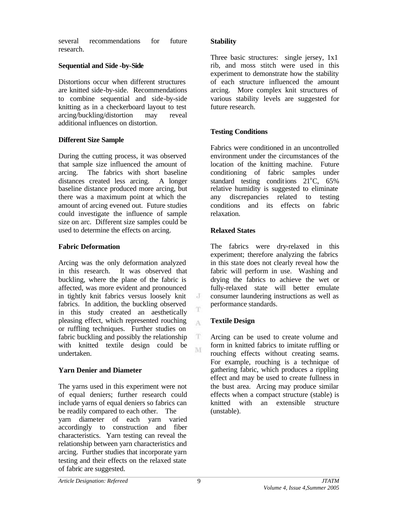several recommendations for future research.

## **Sequential and Side -by-Side**

Distortions occur when different structures are knitted side-by-side. Recommendations to combine sequential and side-by-side knitting as in a checkerboard layout to test arcing/buckling/distortion may reveal additional influences on distortion.

# **Different Size Sample**

During the cutting process, it was observed that sample size influenced the amount of arcing. The fabrics with short baseline distances created less arcing. A longer baseline distance produced more arcing, but there was a maximum point at which the amount of arcing evened out. Future studies could investigate the influence of sample size on arc. Different size samples could be used to determine the effects on arcing.

# **Fabric Deformation**

Arcing was the only deformation analyzed in this research. It was observed that buckling, where the plane of the fabric is affected, was more evident and pronounced in tightly knit fabrics versus loosely knit fabrics. In addition, the buckling observed in this study created an aesthetically pleasing effect, which represented rouching or ruffling techniques. Further studies on fabric buckling and possibly the relationship with knitted textile design could be undertaken.

# **Yarn Denier and Diameter**

The yarns used in this experiment were not of equal deniers; further research could include yarns of equal deniers so fabrics can be readily compared to each other. The yarn diameter of each yarn varied accordingly to construction and fiber characteristics. Yarn testing can reveal the relationship between yarn characteristics and arcing. Further studies that incorporate yarn testing and their effects on the relaxed state of fabric are suggested.

## **Stability**

Three basic structures: single jersey, 1x1 rib, and moss stitch were used in this experiment to demonstrate how the stability of each structure influenced the amount arcing. More complex knit structures of various stability levels are suggested for future research.

# **Testing Conditions**

Fabrics were conditioned in an uncontrolled environment under the circumstances of the location of the knitting machine. Future conditioning of fabric samples under standard testing conditions  $21^{\circ}$ C, 65% relative humidity is suggested to eliminate any discrepancies related to testing conditions and its effects on fabric relaxation.

# **Relaxed States**

The fabrics were dry-relaxed in this experiment; therefore analyzing the fabrics in this state does not clearly reveal how the fabric will perform in use. Washing and drying the fabrics to achieve the wet or fully-relaxed state will better emulate consumer laundering instructions as well as performance standards.

# **Textile Design**

Arcing can be used to create volume and form in knitted fabrics to imitate ruffling or rouching effects without creating seams. For example, rouching is a technique of gathering fabric, which produces a rippling effect and may be used to create fullness in the bust area. Arcing may produce similar effects when a compact structure (stable) is knitted with an extensible structure (unstable).

J T

 $\Lambda$ 

 $_{\rm T}$ M